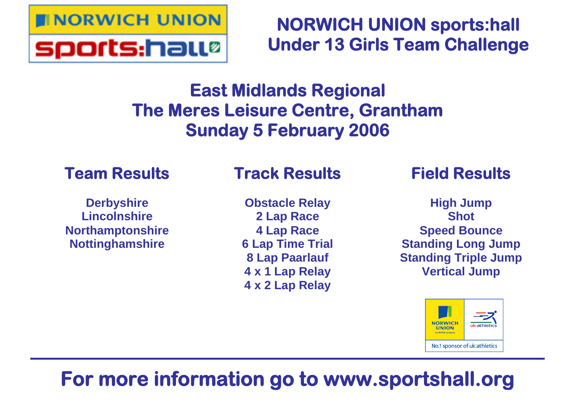

## **NORWICH UNION sports:hall Under 13 Girls Team Challenge**

## **East Midlands Regional The Meres Leisure Centre, Grantham Sunday 5 February 2006**

## **Team Results**

### **Derbyshire Lincolnshire Northamptonshire Nottinghamshire**

## **Track Results**

**Obstacle Relay 2 Lap Race 4 Lap Race 6 Lap Time Trial 8 Lap Paarlauf 4 x 1 Lap Relay 4 x 2 Lap Relay**

## **Field Results**

**High Jump Shot Speed Bounce Standing Long Jump Standing Triple Jump Vertical Jump**



# **For more information go to www.sportshall.org**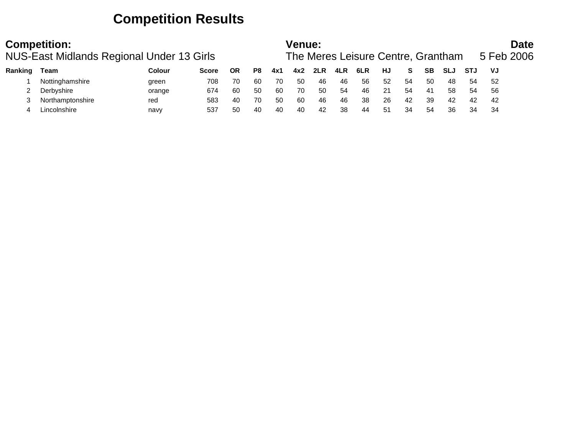### **Competition Results**

|         | <b>Competition:</b><br>NUS-East Midlands Regional Under 13 Girls |               |       |           |    |     | Venue: |     |     | The Meres Leisure Centre, Grantham |     |    |           |            |            | 5 Feb 2006 | <b>Date</b> |
|---------|------------------------------------------------------------------|---------------|-------|-----------|----|-----|--------|-----|-----|------------------------------------|-----|----|-----------|------------|------------|------------|-------------|
| Ranking | Team                                                             | <b>Colour</b> | Score | <b>OR</b> | P8 | 4x1 | 4x2    | 2LR | 4LR | 6LR                                | HJ  | S. | <b>SB</b> | <b>SLJ</b> | <b>STJ</b> | VJ         |             |
|         | Nottinghamshire                                                  | green         | 708   | 70        | 60 | 70  | 50     | 46  | 46  | 56                                 | 52  | 54 | 50        | 48         | 54         | 52         |             |
|         | Derbyshire                                                       | orange        | 674   | 60        | 50 | 60  | 70     | 50  | 54  | 46                                 | 21  | 54 | 41        | 58         | 54         | -56        |             |
|         | Northamptonshire                                                 | red           | 583   | 40        | 70 | 50  | 60     | 46  | 46  | 38                                 | -26 | 42 | 39        | 42         | 42         | 42         |             |
|         | Lincolnshire                                                     | navy          | 537   | 50        | 40 | 40  | 40     | 42  | 38  | 44                                 | -51 | 34 | 54        | 36         | 34         | -34        |             |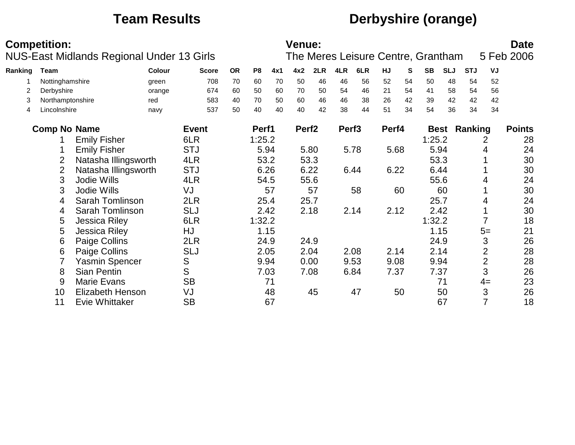## **Team Results Derbyshire (orange)**

|         | <b>Competition:</b> |                         |                                           |              |           |        | <b>Venue:</b> |                   |      |                   |      |       |           |                                    |            |            | <b>Date</b>    |               |
|---------|---------------------|-------------------------|-------------------------------------------|--------------|-----------|--------|---------------|-------------------|------|-------------------|------|-------|-----------|------------------------------------|------------|------------|----------------|---------------|
|         |                     |                         | NUS-East Midlands Regional Under 13 Girls |              |           |        |               |                   |      |                   |      |       |           | The Meres Leisure Centre, Grantham |            |            |                | 5 Feb 2006    |
| Ranking | <b>Team</b>         |                         | Colour                                    | <b>Score</b> | <b>OR</b> | P8     | 4x1           | 4x2               | 2LR  | 4LR               | 6LR  | HJ    | ${\bf S}$ | <b>SB</b>                          | <b>SLJ</b> | <b>STJ</b> | VJ             |               |
|         | Nottinghamshire     |                         | green                                     | 708          | 70        | 60     | 70            | 50                | 46   | 46                | 56   | 52    | 54        | 50                                 | 48         | 54         | 52             |               |
|         | Derbyshire          |                         | orange                                    | 674          | 60        | 50     | 60            | 70                | 50   | 54                | 46   | 21    | 54        | 41                                 | 58         | 54         | 56             |               |
| 3       | Northamptonshire    |                         | red                                       | 583          | 40        | 70     | 50            | 60                | 46   | 46                | 38   | 26    | 42        | 39                                 | 42         | 42         | 42             |               |
| 4       | Lincolnshire        |                         | navy                                      | 537          | 50        | 40     | 40            | 40                | 42   | 38                | 44   | 51    | 34        | 54                                 | 36         | 34         | 34             |               |
|         | <b>Comp No Name</b> |                         |                                           | <b>Event</b> |           | Perf1  |               | Perf <sub>2</sub> |      | Perf <sub>3</sub> |      | Perf4 |           | <b>Best</b>                        |            | Ranking    |                | <b>Points</b> |
|         |                     | <b>Emily Fisher</b>     |                                           | 6LR          |           | 1:25.2 |               |                   |      |                   |      |       |           | 1:25.2                             |            |            | 2              | 28            |
|         |                     | <b>Emily Fisher</b>     |                                           | <b>STJ</b>   |           |        | 5.94          |                   | 5.80 |                   | 5.78 | 5.68  |           | 5.94                               |            |            | 4              | 24            |
|         | 2                   | Natasha Illingsworth    |                                           | 4LR          |           |        | 53.2          |                   | 53.3 |                   |      |       |           | 53.3                               |            |            |                | 30            |
|         | $\overline{2}$      | Natasha Illingsworth    |                                           | <b>STJ</b>   |           |        | 6.26          | 6.22              |      |                   | 6.44 | 6.22  |           | 6.44                               |            |            |                | 30            |
|         | 3                   | Jodie Wills             |                                           | 4LR          |           |        | 54.5          |                   | 55.6 |                   |      |       |           | 55.6                               |            |            |                | 24            |
|         | 3                   | Jodie Wills             |                                           | VJ           |           |        | 57            |                   | 57   |                   | 58   |       | 60        |                                    | 60         |            |                | 30            |
|         | 4                   | Sarah Tomlinson         |                                           | 2LR          |           |        | 25.4          | 25.7              |      |                   |      |       |           | 25.7                               |            |            | 4              | 24            |
|         | 4                   | Sarah Tomlinson         |                                           | <b>SLJ</b>   |           |        | 2.42          |                   | 2.18 |                   | 2.14 | 2.12  |           | 2.42                               |            |            |                | 30            |
|         | 5                   | Jessica Riley           |                                           | 6LR          |           | 1:32.2 |               |                   |      |                   |      |       |           | 1:32.2                             |            |            |                | 18            |
|         | 5                   | <b>Jessica Riley</b>    |                                           | HJ           |           |        | 1.15          |                   |      |                   |      |       |           | 1.15                               |            |            | $5=$           | 21            |
|         | 6                   | Paige Collins           |                                           | 2LR          |           | 24.9   |               | 24.9              |      |                   |      |       |           | 24.9                               |            |            | 3              | 26            |
|         | 6                   | Paige Collins           |                                           | <b>SLJ</b>   |           |        | 2.05          |                   | 2.04 |                   | 2.08 | 2.14  |           |                                    | 2.14       |            | 2              | 28            |
|         |                     | <b>Yasmin Spencer</b>   |                                           | S            |           |        | 9.94          | 0.00              |      |                   | 9.53 | 9.08  |           | 9.94                               |            |            | $\overline{2}$ | 28            |
|         | 8                   | Sian Pentin             |                                           | S            |           |        | 7.03          |                   | 7.08 |                   | 6.84 | 7.37  |           | 7.37                               |            |            | 3              | 26            |
|         | 9                   | <b>Marie Evans</b>      |                                           | <b>SB</b>    |           |        | 71            |                   |      |                   |      |       |           |                                    | 71         |            | $4=$           | 23            |
|         | 10                  | <b>Elizabeth Henson</b> |                                           | VJ           |           |        | 48            |                   | 45   |                   | 47   |       | 50        |                                    | 50         |            | 3              | 26            |
|         | 11                  | Evie Whittaker          |                                           | <b>SB</b>    |           |        | 67            |                   |      |                   |      |       |           |                                    | 67         |            | $\overline{7}$ | 18            |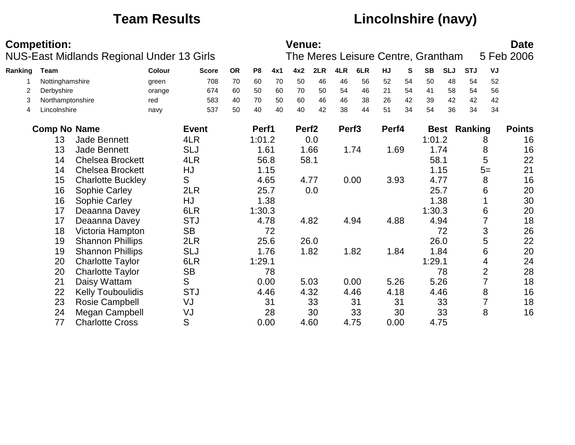## **Team Results Lincolnshire (navy)**

|         | <b>Competition:</b> |                          |                                           |              |           |                |      | <b>Venue:</b>     |      |                   |      |       |    |                                    |            |            |      | <b>Date</b>   |
|---------|---------------------|--------------------------|-------------------------------------------|--------------|-----------|----------------|------|-------------------|------|-------------------|------|-------|----|------------------------------------|------------|------------|------|---------------|
|         |                     |                          | NUS-East Midlands Regional Under 13 Girls |              |           |                |      |                   |      |                   |      |       |    | The Meres Leisure Centre, Grantham |            |            |      | 5 Feb 2006    |
| Ranking | <b>Team</b>         |                          | Colour                                    | <b>Score</b> | <b>OR</b> | P <sub>8</sub> | 4x1  | 4x2               | 2LR  | 4LR               | 6LR  | HJ    | S  | <b>SB</b>                          | <b>SLJ</b> | <b>STJ</b> | VJ   |               |
|         | Nottinghamshire     |                          | green                                     | 708          | 70        | 60             | 70   | 50                | 46   | 46                | 56   | 52    | 54 | 50                                 | 48         | 54         | 52   |               |
| 2       | Derbyshire          |                          | orange                                    | 674          | 60        | 50             | 60   | 70                | 50   | 54                | 46   | 21    | 54 | 41                                 | 58         | 54         | 56   |               |
| 3       | Northamptonshire    |                          | red                                       | 583          | 40        | 70             | 50   | 60                | 46   | 46                | 38   | 26    | 42 | 39                                 | 42         | 42         | 42   |               |
| 4       | Lincolnshire        |                          | navy                                      | 537          | 50        | 40             | 40   | 40                | 42   | 38                | 44   | 51    | 34 | 54                                 | 36         | 34         | 34   |               |
|         | <b>Comp No Name</b> |                          |                                           | <b>Event</b> |           | Perf1          |      | Perf <sub>2</sub> |      | Perf <sub>3</sub> |      | Perf4 |    | <b>Best</b>                        |            | Ranking    |      | <b>Points</b> |
|         | 13                  | <b>Jade Bennett</b>      |                                           | 4LR          |           | 1:01.2         |      |                   | 0.0  |                   |      |       |    | 1:01.2                             |            |            | 8    | 16            |
|         | 13                  | Jade Bennett             |                                           | <b>SLJ</b>   |           |                | 1.61 |                   | 1.66 |                   | 1.74 | 1.69  |    |                                    | 1.74       |            | 8    | 16            |
|         | 14                  | <b>Chelsea Brockett</b>  |                                           | 4LR          |           |                | 56.8 |                   | 58.1 |                   |      |       |    | 58.1                               |            |            | 5    | 22            |
|         | 14                  | <b>Chelsea Brockett</b>  |                                           | HJ           |           |                | 1.15 |                   |      |                   |      |       |    |                                    | 1.15       |            | $5=$ | 21            |
|         | 15                  | <b>Charlotte Buckley</b> |                                           | S            |           |                | 4.65 |                   | 4.77 |                   | 0.00 | 3.93  |    | 4.77                               |            |            | 8    | 16            |
|         | 16                  | Sophie Carley            |                                           | 2LR          |           |                | 25.7 |                   | 0.0  |                   |      |       |    | 25.7                               |            |            | 6    | 20            |
|         | 16                  | Sophie Carley            |                                           | <b>HJ</b>    |           |                | 1.38 |                   |      |                   |      |       |    |                                    | 1.38       |            |      | 30            |
|         | 17                  | Deaanna Davey            |                                           | 6LR          |           | 1:30.3         |      |                   |      |                   |      |       |    | 1:30.3                             |            |            | 6    | 20            |
|         | 17                  | Deaanna Davey            |                                           | <b>STJ</b>   |           |                | 4.78 |                   | 4.82 |                   | 4.94 | 4.88  |    |                                    | 4.94       |            |      | 18            |
|         | 18                  | Victoria Hampton         |                                           | <b>SB</b>    |           |                | 72   |                   |      |                   |      |       |    |                                    | 72         |            | 3    | 26            |
|         | 19                  | <b>Shannon Phillips</b>  |                                           | 2LR          |           |                | 25.6 |                   | 26.0 |                   |      |       |    |                                    | 26.0       |            | 5    | 22            |
|         | 19                  | <b>Shannon Phillips</b>  |                                           | <b>SLJ</b>   |           |                | 1.76 |                   | 1.82 |                   | 1.82 | 1.84  |    |                                    | 1.84       |            | 6    | 20            |
|         | 20                  | <b>Charlotte Taylor</b>  |                                           | 6LR          |           | 1:29.1         |      |                   |      |                   |      |       |    | 1:29.1                             |            |            | 4    | 24            |
|         | 20                  | <b>Charlotte Taylor</b>  |                                           | <b>SB</b>    |           |                | 78   |                   |      |                   |      |       |    |                                    | 78         |            | 2    | 28            |
|         | 21                  | Daisy Wattam             |                                           | S            |           |                | 0.00 |                   | 5.03 |                   | 0.00 | 5.26  |    |                                    | 5.26       |            | 7    | 18            |
|         | 22                  | <b>Kelly Touboulidis</b> |                                           | <b>STJ</b>   |           |                | 4.46 |                   | 4.32 |                   | 4.46 | 4.18  |    |                                    | 4.46       |            | 8    | 16            |
|         | 23                  | Rosie Campbell           |                                           | VJ           |           |                | 31   |                   | 33   |                   | 31   |       | 31 |                                    | 33         |            |      | 18            |
|         | 24                  | Megan Campbell           |                                           | VJ           |           |                | 28   |                   | 30   |                   | 33   |       | 30 |                                    | 33         |            | 8    | 16            |
|         | 77                  | <b>Charlotte Cross</b>   |                                           | S            |           |                | 0.00 |                   | 4.60 |                   | 4.75 | 0.00  |    | 4.75                               |            |            |      |               |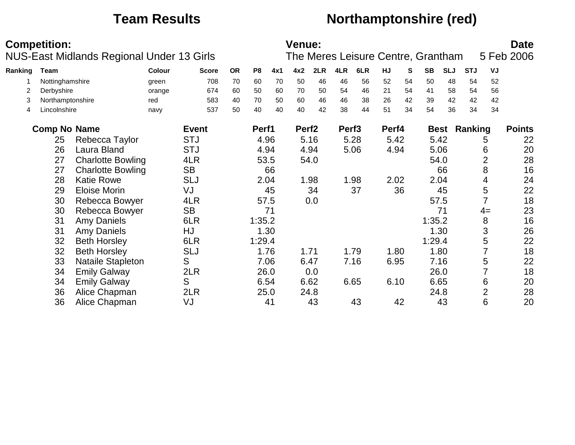## **Team Results Northamptonshire (red)**

|         | <b>Competition:</b> | NUS-East Midlands Regional Under 13 Girls |        |              |           |        |      | Venue:            |      |                   |      |       |    | The Meres Leisure Centre, Grantham |            |            |                | <b>Date</b><br>5 Feb 2006 |
|---------|---------------------|-------------------------------------------|--------|--------------|-----------|--------|------|-------------------|------|-------------------|------|-------|----|------------------------------------|------------|------------|----------------|---------------------------|
| Ranking | Team                |                                           | Colour | <b>Score</b> | <b>OR</b> | P8     | 4x1  | 4x2               | 2LR  | 4LR               | 6LR  | HJ    | S  | <b>SB</b>                          | <b>SLJ</b> | <b>STJ</b> | VJ             |                           |
|         | Nottinghamshire     |                                           | green  | 708          | 70        | 60     | 70   | 50                | 46   | 46                | 56   | 52    | 54 | 50                                 | 48         | 54         | 52             |                           |
| 2       | Derbyshire          |                                           | orange | 674          | 60        | 50     | 60   | 70                | 50   | 54                | 46   | 21    | 54 | 41                                 | 58         | 54         | 56             |                           |
| 3       | Northamptonshire    |                                           | red    | 583          | 40        | 70     | 50   | 60                | 46   | 46                | 38   | 26    | 42 | 39                                 | 42         | 42         | 42             |                           |
| 4       | Lincolnshire        |                                           | navy   | 537          | 50        | 40     | 40   | 40                | 42   | 38                | 44   | 51    | 34 | 54                                 | 36         | 34         | 34             |                           |
|         | <b>Comp No Name</b> |                                           |        | <b>Event</b> |           | Perf1  |      | Perf <sub>2</sub> |      | Perf <sub>3</sub> |      | Perf4 |    | <b>Best</b>                        |            | Ranking    |                | <b>Points</b>             |
|         | 25                  | Rebecca Taylor                            |        | <b>STJ</b>   |           |        | 4.96 |                   | 5.16 |                   | 5.28 | 5.42  |    | 5.42                               |            |            | 5              | 22                        |
|         | 26                  | Laura Bland                               |        | <b>STJ</b>   |           |        | 4.94 | 4.94              |      |                   | 5.06 | 4.94  |    |                                    | 5.06       |            | 6              | 20                        |
|         | 27                  | <b>Charlotte Bowling</b>                  |        | 4LR          |           |        | 53.5 |                   | 54.0 |                   |      |       |    |                                    | 54.0       |            | $\overline{2}$ | 28                        |
|         | 27                  | <b>Charlotte Bowling</b>                  |        | <b>SB</b>    |           |        | 66   |                   |      |                   |      |       |    |                                    | 66         |            | 8              | 16                        |
|         | 28                  | <b>Katie Rowe</b>                         |        | <b>SLJ</b>   |           |        | 2.04 |                   | 1.98 |                   | 1.98 | 2.02  |    | 2.04                               |            |            | 4              | 24                        |
|         | 29                  | Eloise Morin                              |        | VJ           |           |        | 45   |                   | 34   |                   | 37   |       | 36 |                                    | 45         |            | 5              | 22                        |
|         | 30                  | Rebecca Bowyer                            |        | 4LR          |           |        | 57.5 |                   | 0.0  |                   |      |       |    | 57.5                               |            |            |                | 18                        |
|         | 30                  | Rebecca Bowyer                            |        | <b>SB</b>    |           |        | 71   |                   |      |                   |      |       |    |                                    | 71         |            | $4=$           | 23                        |
|         | 31                  | <b>Amy Daniels</b>                        |        | 6LR          |           | 1:35.2 |      |                   |      |                   |      |       |    | 1:35.2                             |            |            | 8              | 16                        |
|         | 31                  | <b>Amy Daniels</b>                        |        | HJ           |           |        | 1.30 |                   |      |                   |      |       |    |                                    | 1.30       |            | 3              | 26                        |
|         | 32                  | <b>Beth Horsley</b>                       |        | 6LR          |           | 1:29.4 |      |                   |      |                   |      |       |    | 1:29.4                             |            |            | 5              | 22                        |
|         | 32                  | <b>Beth Horsley</b>                       |        | <b>SLJ</b>   |           |        | 1.76 | 1.71              |      |                   | 1.79 | 1.80  |    |                                    | 1.80       |            | 7              | 18                        |
|         | 33                  | <b>Nataile Stapleton</b>                  |        | S            |           |        | 7.06 | 6.47              |      |                   | 7.16 | 6.95  |    |                                    | 7.16       |            | 5              | 22                        |
|         | 34                  | <b>Emily Galway</b>                       |        | 2LR          |           |        | 26.0 |                   | 0.0  |                   |      |       |    | 26.0                               |            |            | 7              | 18                        |
|         | 34                  | <b>Emily Galway</b>                       |        | S            |           |        | 6.54 | 6.62              |      |                   | 6.65 | 6.10  |    | 6.65                               |            |            | 6              | 20                        |
|         | 36                  | Alice Chapman                             |        | 2LR          |           |        | 25.0 |                   | 24.8 |                   |      |       |    |                                    | 24.8       |            | $\overline{2}$ | 28                        |
|         | 36                  | Alice Chapman                             |        | VJ           |           |        | 41   |                   | 43   |                   | 43   |       | 42 |                                    | 43         |            | 6              | 20                        |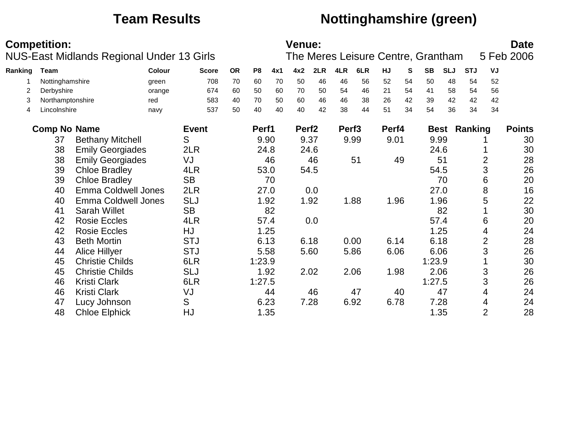## **Team Results Nottinghamshire (green)**

|         | <b>Competition:</b>                        |                            | NUS-East Midlands Regional Under 13 Girls |              |           |                |      | <b>Venue:</b>     |      |                   |      |       |           | The Meres Leisure Centre, Grantham |            |            |                | <b>Date</b><br>5 Feb 2006 |
|---------|--------------------------------------------|----------------------------|-------------------------------------------|--------------|-----------|----------------|------|-------------------|------|-------------------|------|-------|-----------|------------------------------------|------------|------------|----------------|---------------------------|
| Ranking | Team                                       |                            | Colour                                    | <b>Score</b> | <b>OR</b> | P <sub>8</sub> | 4x1  | 4x2               | 2LR  | 4LR               | 6LR  | HJ    | ${\bf S}$ | <b>SB</b>                          | <b>SLJ</b> | <b>STJ</b> | VJ             |                           |
|         | Nottinghamshire                            |                            | green                                     | 708          | 70        | 60             | 70   | 50                | 46   | 46                | 56   | 52    | 54        | 50                                 | 48         | 54         | 52             |                           |
| 2       | Derbyshire                                 |                            | orange                                    | 674          | 60        | 50             | 60   | 70                | 50   | 54                | 46   | 21    | 54        | 41                                 | 58         | 54         | 56             |                           |
| 3       | Northamptonshire                           |                            | red                                       | 583          | 40        | 70             | 50   | 60                | 46   | 46                | 38   | 26    | 42        | 39                                 | 42         | 42         | 42             |                           |
| 4       | Lincolnshire                               |                            | navy                                      | 537          | 50        | 40             | 40   | 40                | 42   | 38                | 44   | 51    | 34        | 54                                 | 36         | 34         | 34             |                           |
|         | <b>Comp No Name</b>                        |                            |                                           | <b>Event</b> |           | Perf1          |      | Perf <sub>2</sub> |      | Perf <sub>3</sub> |      | Perf4 |           | <b>Best</b>                        |            | Ranking    |                | <b>Points</b>             |
|         | 37                                         | <b>Bethany Mitchell</b>    |                                           | S            |           |                | 9.90 | 9.37              |      |                   | 9.99 | 9.01  |           | 9.99                               |            |            |                | 30                        |
|         | 38                                         | <b>Emily Georgiades</b>    |                                           | 2LR          |           |                | 24.8 |                   | 24.6 |                   |      |       |           | 24.6                               |            |            |                | 30                        |
|         | 38<br><b>Emily Georgiades</b>              |                            |                                           | VJ           |           |                | 46   |                   | 46   |                   | 51   |       | 49        |                                    | 51         |            | $\overline{2}$ | 28                        |
|         | 39                                         | <b>Chloe Bradley</b>       |                                           | 4LR          |           |                | 53.0 |                   | 54.5 |                   |      |       |           | 54.5                               |            |            | 3              | 26                        |
|         | 39                                         | <b>Chloe Bradley</b>       |                                           | <b>SB</b>    |           |                | 70   |                   |      |                   |      |       |           |                                    | 70         |            | 6              | 20                        |
|         | 40                                         | <b>Emma Coldwell Jones</b> |                                           | 2LR          |           |                | 27.0 |                   | 0.0  |                   |      |       |           | 27.0                               |            |            | 8              | 16                        |
|         | 40                                         | <b>Emma Coldwell Jones</b> |                                           | <b>SLJ</b>   |           |                | 1.92 |                   | 1.92 |                   | 1.88 | 1.96  |           |                                    | 1.96       |            | 5              | 22                        |
|         | 41                                         | <b>Sarah Willet</b>        |                                           | <b>SB</b>    |           |                | 82   |                   |      |                   |      |       |           |                                    | 82         |            |                | 30                        |
|         | 42                                         | <b>Rosie Eccles</b>        |                                           | 4LR          |           |                | 57.4 |                   | 0.0  |                   |      |       |           | 57.4                               |            |            | 6              | 20                        |
|         | 42                                         | <b>Rosie Eccles</b>        |                                           | <b>HJ</b>    |           |                | 1.25 |                   |      |                   |      |       |           |                                    | 1.25       |            | 4              | 24                        |
|         | 43                                         | <b>Beth Mortin</b>         |                                           | <b>STJ</b>   |           |                | 6.13 | 6.18              |      |                   | 0.00 | 6.14  |           | 6.18                               |            |            | $\overline{2}$ | 28                        |
|         | 44                                         | <b>Alice Hillyer</b>       |                                           | <b>STJ</b>   |           |                | 5.58 |                   | 5.60 |                   | 5.86 | 6.06  |           | 6.06                               |            |            | 3              | 26                        |
|         | 45                                         | <b>Christie Childs</b>     |                                           | 6LR          |           | 1:23.9         |      |                   |      |                   |      |       |           | 1:23.9                             |            |            |                | 30                        |
|         | 45                                         | <b>Christie Childs</b>     |                                           | <b>SLJ</b>   |           |                | 1.92 |                   | 2.02 |                   | 2.06 | 1.98  |           | 2.06                               |            |            | 3              | 26                        |
|         | 46                                         | <b>Kristi Clark</b>        |                                           | 6LR          |           | 1:27.5         |      |                   |      |                   |      |       |           | 1:27.5                             |            |            | 3              | 26                        |
|         | 46                                         | <b>Kristi Clark</b>        |                                           | VJ           |           |                | 44   |                   | 46   |                   | 47   |       | 40        |                                    | 47         |            | 4              | 24                        |
|         | 47                                         |                            |                                           | S            |           |                | 6.23 |                   | 7.28 |                   | 6.92 | 6.78  |           | 7.28                               |            |            | 4              | 24                        |
|         | Lucy Johnson<br>48<br><b>Chloe Elphick</b> |                            |                                           | <b>HJ</b>    |           |                | 1.35 |                   |      |                   |      |       |           | 1.35                               |            |            | $\overline{2}$ | 28                        |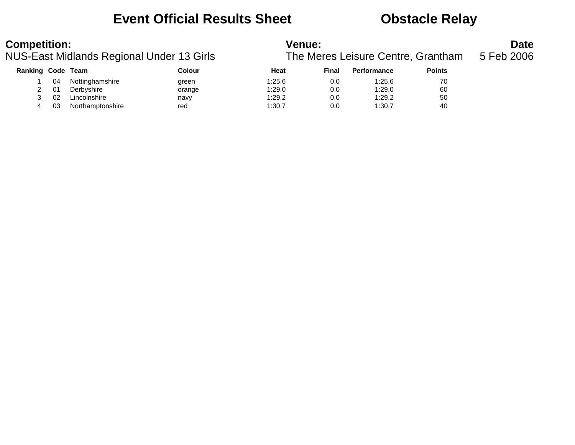## **Event Official Results Sheet Obstacle Relay**

| <b>Competition:</b> |    |                  | NUS-East Midlands Regional Under 13 Girls | <b>Venue:</b> |       | The Meres Leisure Centre, Grantham |               | <b>Date</b><br>5 Feb 2006 |
|---------------------|----|------------------|-------------------------------------------|---------------|-------|------------------------------------|---------------|---------------------------|
| Ranking Code Team   |    |                  | Colour                                    | Heat          | Final | <b>Performance</b>                 | <b>Points</b> |                           |
|                     | 04 | Nottinghamshire  | green                                     | 1:25.6        | 0.0   | 1:25.6                             | 70            |                           |
|                     | 01 | Derbyshire       | orange                                    | 1:29.0        | 0.0   | 1:29.0                             | 60            |                           |
|                     | 02 | Lincolnshire     | navy                                      | 1:29.2        | 0.0   | 1:29.2                             | 50            |                           |
| 4                   | 03 | Northamptonshire | red                                       | 1:30.7        | 0.0   | 1:30.7                             | 40            |                           |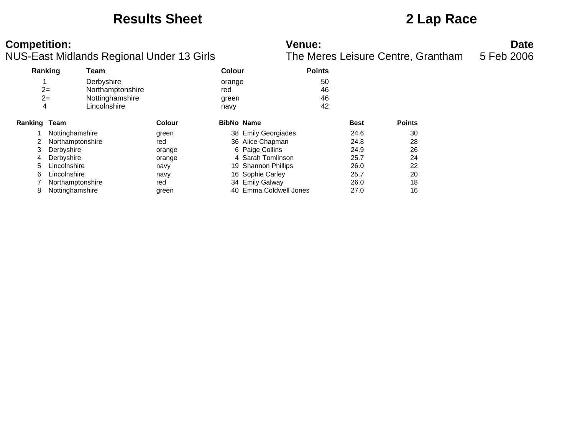### **Results Sheet 2 Lap Race**

NUS-East Midlands Regional Under 13 Girls

| Ranking             |                  | Team             |        | <b>Colour</b>     |                        | <b>Points</b> |             |               |
|---------------------|------------------|------------------|--------|-------------------|------------------------|---------------|-------------|---------------|
|                     |                  | Derbyshire       |        | orange            |                        | 50            |             |               |
|                     | $2=$             | Northamptonshire |        | red               |                        | 46            |             |               |
|                     | $2=$             | Nottinghamshire  |        | green             |                        | 46            |             |               |
| 4                   |                  | Lincolnshire     |        | navy              |                        | 42            |             |               |
| <b>Ranking Team</b> |                  |                  | Colour | <b>BibNo Name</b> |                        |               | <b>Best</b> | <b>Points</b> |
|                     | Nottinghamshire  |                  | green  |                   | 38 Emily Georgiades    |               | 24.6        | 30            |
|                     | Northamptonshire |                  | red    |                   | 36 Alice Chapman       |               | 24.8        | 28            |
| 3                   | Derbyshire       |                  | orange |                   | 6 Paige Collins        |               | 24.9        | 26            |
| 4                   | Derbyshire       |                  | orange |                   | 4 Sarah Tomlinson      |               | 25.7        | 24            |
| 5                   | Lincolnshire     |                  | navy   |                   | 19 Shannon Phillips    |               | 26.0        | 22            |
| 6                   | Lincolnshire     |                  | navy   |                   | 16 Sophie Carley       |               | 25.7        | 20            |
|                     | Northamptonshire |                  | red    |                   | 34 Emily Galway        |               | 26.0        | 18            |
| 8                   | Nottinghamshire  |                  | green  |                   | 40 Emma Coldwell Jones |               | 27.0        | 16            |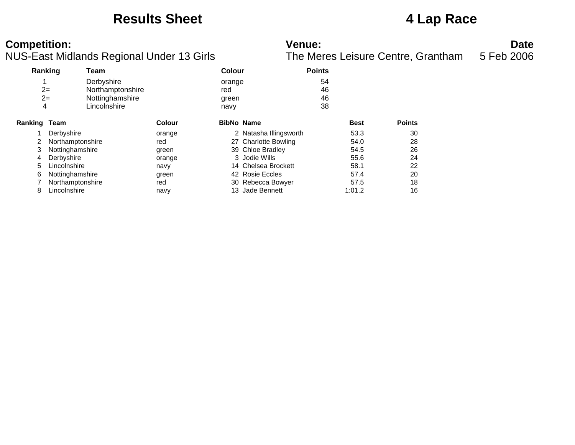### **Results Sheet 4 Lap Race**

NUS-East Midlands Regional Under 13 Girls

| Ranking             |                  | Team             |        | <b>Colour</b>     |                        | <b>Points</b> |               |
|---------------------|------------------|------------------|--------|-------------------|------------------------|---------------|---------------|
|                     |                  | Derbyshire       |        | orange            |                        | 54            |               |
|                     | $2=$             | Northamptonshire |        | red               |                        | 46            |               |
|                     | $2=$             | Nottinghamshire  |        | green             |                        | 46            |               |
| 4                   |                  | Lincolnshire     |        | navy              |                        | 38            |               |
| <b>Ranking Team</b> |                  |                  | Colour | <b>BibNo Name</b> |                        | <b>Best</b>   | <b>Points</b> |
|                     | Derbyshire       |                  | orange |                   | 2 Natasha Illingsworth | 53.3          | 30            |
|                     | Northamptonshire |                  | red    |                   | 27 Charlotte Bowling   | 54.0          | 28            |
| 3                   | Nottinghamshire  |                  | green  |                   | 39 Chloe Bradley       | 54.5          | 26            |
| 4                   | Derbyshire       |                  | orange |                   | 3 Jodie Wills          | 55.6          | 24            |
| 5                   | Lincolnshire     |                  | navy   |                   | 14 Chelsea Brockett    | 58.1          | 22            |
| 6                   | Nottinghamshire  |                  | green  |                   | 42 Rosie Eccles        | 57.4          | 20            |
|                     | Northamptonshire |                  | red    |                   | 30 Rebecca Bowyer      | 57.5          | 18            |
| 8                   | Lincolnshire     |                  | navy   |                   | 13 Jade Bennett        | 1:01.2        | 16            |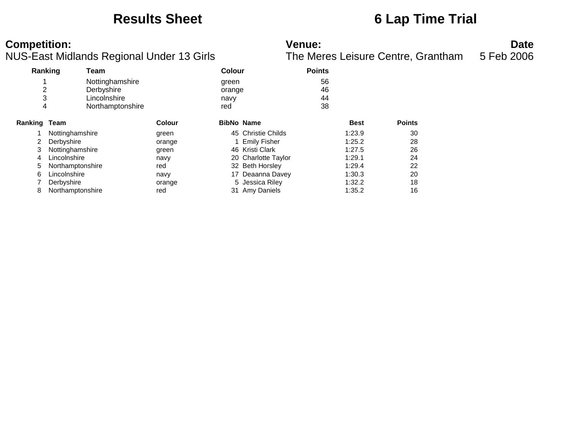### **Results Sheet 6 Lap Time Trial**

NUS-East Midlands Regional Under 13 Girls

|                     | Ranking          | Team             |        | <b>Colour</b>     |                     | <b>Points</b> |             |               |
|---------------------|------------------|------------------|--------|-------------------|---------------------|---------------|-------------|---------------|
|                     |                  | Nottinghamshire  |        | green             |                     | 56            |             |               |
| 2                   |                  | Derbyshire       |        | orange            |                     | 46            |             |               |
| 3                   |                  | Lincolnshire     |        | navy              |                     | 44            |             |               |
| 4                   |                  | Northamptonshire |        | red               |                     | 38            |             |               |
| <b>Ranking Team</b> |                  |                  | Colour | <b>BibNo Name</b> |                     |               | <b>Best</b> | <b>Points</b> |
|                     | Nottinghamshire  |                  | green  |                   | 45 Christie Childs  |               | 1:23.9      | 30            |
| 2                   | Derbyshire       |                  | orange |                   | <b>Emily Fisher</b> |               | 1:25.2      | 28            |
| 3                   | Nottinghamshire  |                  | green  |                   | 46 Kristi Clark     |               | 1:27.5      | 26            |
| 4                   | Lincolnshire     |                  | navy   |                   | 20 Charlotte Taylor |               | 1:29.1      | 24            |
| 5                   | Northamptonshire |                  | red    |                   | 32 Beth Horsley     |               | 1:29.4      | 22            |
| 6                   | Lincolnshire     |                  | navy   |                   | 17 Deaanna Davey    |               | 1:30.3      | 20            |
|                     | Derbyshire       |                  | orange | 5.                | Jessica Riley       |               | 1:32.2      | 18            |
| 8                   | Northamptonshire |                  | red    |                   | 31 Amy Daniels      |               | 1:35.2      | 16            |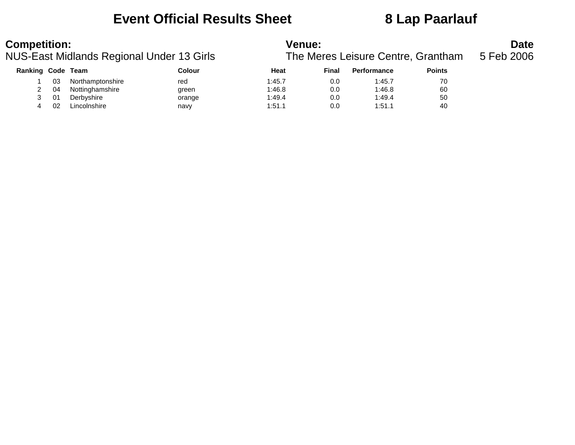### **Event Official Results Sheet 8 Lap Paarlauf**

| <b>Competition:</b> |    | NUS-East Midlands Regional Under 13 Girls |        | <b>Venue:</b> |       | The Meres Leisure Centre, Grantham |               | <b>Date</b><br>5 Feb 2006 |
|---------------------|----|-------------------------------------------|--------|---------------|-------|------------------------------------|---------------|---------------------------|
| Ranking Code Team   |    |                                           | Colour | Heat          | Final | <b>Performance</b>                 | <b>Points</b> |                           |
|                     | 03 | Northamptonshire                          | red    | 1:45.7        | 0.0   | 1:45.7                             | 70            |                           |
|                     | 04 | Nottinghamshire                           | green  | 1:46.8        | 0.0   | 1:46.8                             | 60            |                           |
|                     | 01 | Derbyshire                                | orange | 1:49.4        | 0.0   | 1:49.4                             | 50            |                           |
| 4                   | 02 | Lincolnshire                              | navy   | 1:51.1        | 0.0   | 1:51.1                             | 40            |                           |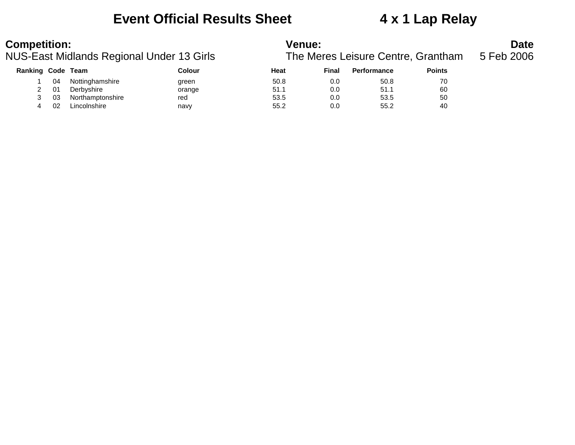### **Event Official Results Sheet 4 x 1 Lap Relay**

| <b>Competition:</b> |    | NUS-East Midlands Regional Under 13 Girls |        | Venue: |       | The Meres Leisure Centre, Grantham |               | <b>Date</b><br>5 Feb 2006 |
|---------------------|----|-------------------------------------------|--------|--------|-------|------------------------------------|---------------|---------------------------|
| Ranking Code Team   |    |                                           | Colour | Heat   | Final | <b>Performance</b>                 | <b>Points</b> |                           |
|                     | 04 | Nottinghamshire                           | green  | 50.8   | 0.0   | 50.8                               | 70            |                           |
|                     | 01 | Derbyshire                                | orange | 51.1   | 0.0   | 51.1                               | 60            |                           |
| 3                   | 03 | Northamptonshire                          | red    | 53.5   | 0.0   | 53.5                               | 50            |                           |
| 4                   | 02 | Lincolnshire                              | navy   | 55.2   | 0.0   | 55.2                               | 40            |                           |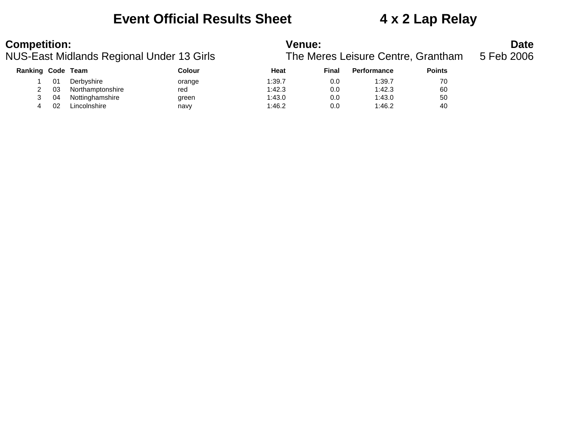### **Event Official Results Sheet 4 x 2 Lap Relay**

| <b>Competition:</b>      |    | NUS-East Midlands Regional Under 13 Girls |        | <b>Venue:</b> |       | The Meres Leisure Centre, Grantham |               | <b>Date</b><br>5 Feb 2006 |
|--------------------------|----|-------------------------------------------|--------|---------------|-------|------------------------------------|---------------|---------------------------|
| <b>Ranking Code Team</b> |    |                                           | Colour | Heat          | Final | <b>Performance</b>                 | <b>Points</b> |                           |
|                          | 01 | Derbyshire                                | orange | 1:39.7        | 0.0   | 1:39.7                             | 70            |                           |
|                          | 03 | Northamptonshire                          | red    | 1:42.3        | 0.0   | 1:42.3                             | 60            |                           |
| 3                        | 04 | Nottinghamshire                           | green  | 1:43.0        | 0.0   | 1:43.0                             | 50            |                           |
| 4                        | 02 | Lincolnshire                              | navy   | 1:46.2        | 0.0   | 1:46.2                             | 40            |                           |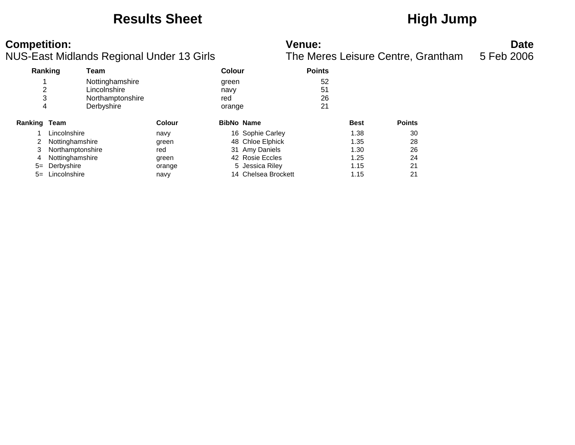### Results Sheet **High Jump**

| <b>Competition:</b>                       | Venue:                                        | <b>Date</b> |
|-------------------------------------------|-----------------------------------------------|-------------|
| NUS-East Midlands Regional Under 13 Girls | The Meres Leisure Centre, Grantham 5 Feb 2006 |             |

|         | Ranking          | Team             |        | Colour            |                     | <b>Points</b> |             |               |
|---------|------------------|------------------|--------|-------------------|---------------------|---------------|-------------|---------------|
|         |                  | Nottinghamshire  |        | green             |                     | 52            |             |               |
| 2       |                  | Lincolnshire     |        | navy              |                     | 51            |             |               |
| 3       |                  | Northamptonshire |        | red               |                     | 26            |             |               |
| 4       |                  | Derbyshire       |        | orange            |                     | 21            |             |               |
| Ranking | Team             |                  | Colour | <b>BibNo Name</b> |                     |               | <b>Best</b> | <b>Points</b> |
|         | Lincolnshire     |                  | navy   |                   | 16 Sophie Carley    |               | 1.38        | 30            |
|         | Nottinghamshire  |                  | green  |                   | 48 Chloe Elphick    |               | 1.35        | 28            |
| 3       | Northamptonshire |                  | red    |                   | 31 Amy Daniels      |               | 1.30        | 26            |
| 4       | Nottinghamshire  |                  | green  |                   | 42 Rosie Eccles     |               | 1.25        | 24            |
| $5=$    | Derbyshire       |                  | orange |                   | 5 Jessica Riley     |               | 1.15        | 21            |
| $5=$    | Lincolnshire     |                  | navy   |                   | 14 Chelsea Brockett |               | 1.15        | 21            |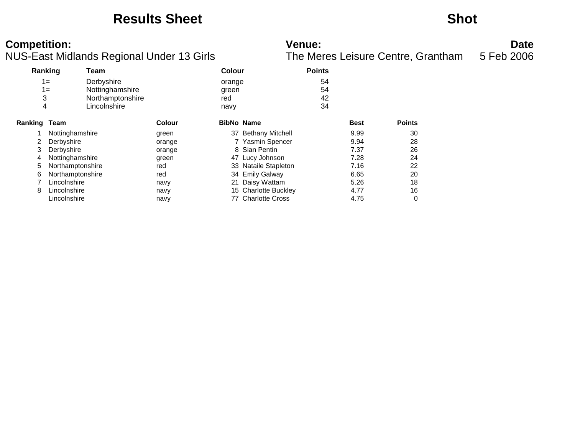### **Results Sheet Shot**

NUS-East Midlands Regional Under 13 Girls

**Competition:**<br>**Date**<br>The Meres Leisure Centre, Grantham 5 Feb 2006<br>The Meres Leisure Centre, Grantham 5 Feb 2006

| Ranking      |                  | Team             |               | <b>Colour</b>     |                      | <b>Points</b> |             |               |
|--------------|------------------|------------------|---------------|-------------------|----------------------|---------------|-------------|---------------|
| $1 =$        |                  | Derbyshire       |               | orange            |                      | 54            |             |               |
| $1 =$        |                  | Nottinghamshire  |               | green             |                      | 54            |             |               |
| 3            |                  | Northamptonshire |               | red               |                      | 42            |             |               |
| 4            |                  | Lincolnshire     |               | navy              |                      | 34            |             |               |
| Ranking Team |                  |                  | <b>Colour</b> | <b>BibNo Name</b> |                      |               | <b>Best</b> | <b>Points</b> |
|              | Nottinghamshire  |                  | green         |                   | 37 Bethany Mitchell  |               | 9.99        | 30            |
| 2            | Derbyshire       |                  | orange        |                   | 7 Yasmin Spencer     |               | 9.94        | 28            |
| 3            | Derbyshire       |                  | orange        |                   | 8 Sian Pentin        |               | 7.37        | 26            |
| 4            | Nottinghamshire  |                  | green         |                   | 47 Lucy Johnson      |               | 7.28        | 24            |
| 5            | Northamptonshire |                  | red           |                   | 33 Nataile Stapleton |               | 7.16        | 22            |
| 6            | Northamptonshire |                  | red           |                   | 34 Emily Galway      |               | 6.65        | 20            |
|              | Lincolnshire     |                  | navy          | 21                | Daisy Wattam         |               | 5.26        | 18            |
| 8            | Lincolnshire     |                  | navy          |                   | 15 Charlotte Buckley |               | 4.77        | 16            |
|              | Lincolnshire     |                  | navy          |                   | 77 Charlotte Cross   |               | 4.75        | 0             |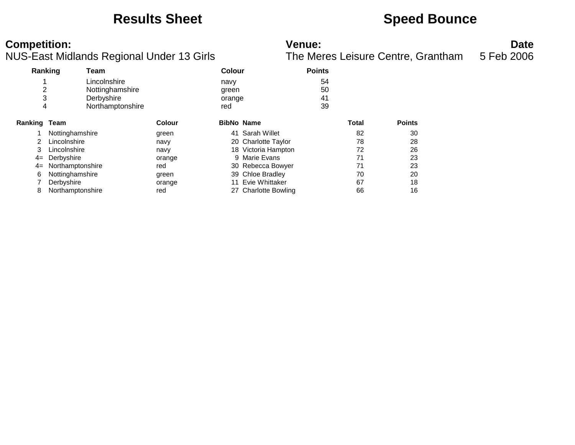### **Results Sheet <b>Speed Bounce Speed Bounce**

NUS-East Midlands Regional Under 13 Girls

| Ranking             |                  | Team             |               | Colour            |                      | <b>Points</b> |       |               |
|---------------------|------------------|------------------|---------------|-------------------|----------------------|---------------|-------|---------------|
|                     |                  | Lincolnshire     |               | navy              |                      | 54            |       |               |
| 2                   |                  | Nottinghamshire  |               | green             |                      | 50            |       |               |
| 3                   |                  | Derbyshire       |               | orange            |                      | 41            |       |               |
| 4                   |                  | Northamptonshire |               | red               |                      | 39            |       |               |
| <b>Ranking Team</b> |                  |                  | <b>Colour</b> | <b>BibNo Name</b> |                      |               | Total | <b>Points</b> |
|                     | Nottinghamshire  |                  | green         |                   | 41 Sarah Willet      |               | 82    | 30            |
| 2                   | Lincolnshire     |                  | navy          |                   | 20 Charlotte Taylor  |               | 78    | 28            |
| 3                   | Lincolnshire     |                  | navy          |                   | 18 Victoria Hampton  |               | 72    | 26            |
| $4=$                | Derbyshire       |                  | orange        |                   | 9 Marie Evans        |               | 71    | 23            |
| $4=$                | Northamptonshire |                  | red           |                   | 30 Rebecca Bowyer    |               | 71    | 23            |
| 6                   | Nottinghamshire  |                  | green         |                   | 39 Chloe Bradley     |               | 70    | 20            |
|                     | Derbyshire       |                  | orange        | 11                | Evie Whittaker       |               | 67    | 18            |
| 8                   | Northamptonshire |                  | red           |                   | 27 Charlotte Bowling |               | 66    | 16            |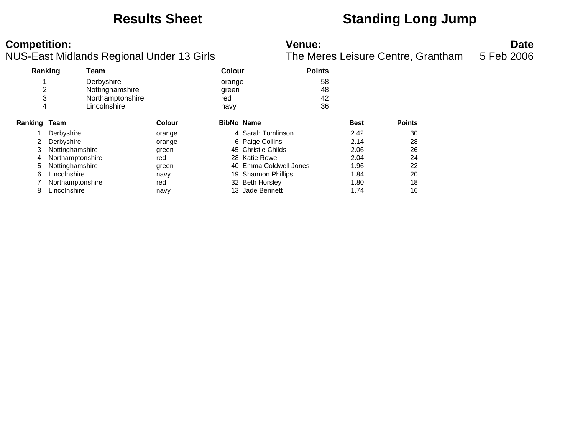### **Results Sheet Standing Long Jump**

**Competition: Date**<br>**Reference: Date**<br>**Reference: Date**<br>**The Meres Leisure Centre, Grantham** 5 Feb 2006 NUS-East Midlands Regional Under 13 Girls The Meres Leisure Centre, Grantham 5 Feb 2006

|                     | Ranking          | Team             |        | Colour            |                        | <b>Points</b> |             |               |
|---------------------|------------------|------------------|--------|-------------------|------------------------|---------------|-------------|---------------|
|                     |                  | Derbyshire       |        | orange            |                        | 58            |             |               |
| 2                   |                  | Nottinghamshire  |        | green             |                        | 48            |             |               |
| 3                   |                  | Northamptonshire |        | red               |                        | 42            |             |               |
| 4                   |                  | Lincolnshire     |        | navy              |                        | 36            |             |               |
| <b>Ranking Team</b> |                  |                  | Colour | <b>BibNo Name</b> |                        |               | <b>Best</b> | <b>Points</b> |
|                     | Derbyshire       |                  | orange |                   | 4 Sarah Tomlinson      |               | 2.42        | 30            |
| 2                   | Derbyshire       |                  | orange |                   | 6 Paige Collins        |               | 2.14        | 28            |
| 3                   | Nottinghamshire  |                  | green  |                   | 45 Christie Childs     |               | 2.06        | 26            |
| 4                   | Northamptonshire |                  | red    |                   | 28 Katie Rowe          |               | 2.04        | 24            |
| 5                   | Nottinghamshire  |                  | green  |                   | 40 Emma Coldwell Jones |               | 1.96        | 22            |
| 6                   | Lincolnshire     |                  | navy   |                   | 19 Shannon Phillips    |               | 1.84        | 20            |
|                     | Northamptonshire |                  | red    |                   | 32 Beth Horsley        |               | 1.80        | 18            |
| 8                   | Lincolnshire     |                  | navy   |                   | 13 Jade Bennett        |               | 1.74        | 16            |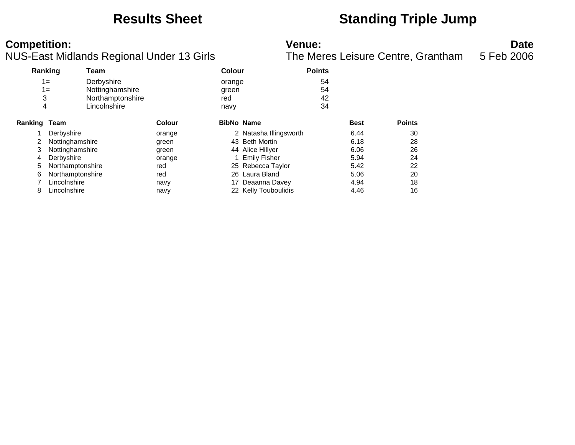### **Results Sheet Standing Triple Jump**

**Competition: Date**<br>**NUS-East Midlands Regional Under 13 Girls Date**<br>**The Meres Leisure Centre, Grantham** 5 Feb 2006 NUS-East Midlands Regional Under 13 Girls The Meres Leisure Centre, Grantham 5 Feb 2006

| Ranking             |                  | Team             |               | <b>Colour</b>     |                        | <b>Points</b> |             |               |
|---------------------|------------------|------------------|---------------|-------------------|------------------------|---------------|-------------|---------------|
|                     | $1 =$            | Derbyshire       |               | orange            |                        | 54            |             |               |
|                     | $1 =$            | Nottinghamshire  |               | green             |                        | 54            |             |               |
| 3                   |                  | Northamptonshire |               | red               |                        | 42            |             |               |
| 4                   |                  | Lincolnshire     |               | navy              |                        | 34            |             |               |
| <b>Ranking Team</b> |                  |                  | <b>Colour</b> | <b>BibNo Name</b> |                        |               | <b>Best</b> | <b>Points</b> |
|                     | Derbyshire       |                  | orange        |                   | 2 Natasha Illingsworth |               | 6.44        | 30            |
| 2                   | Nottinghamshire  |                  | green         |                   | 43 Beth Mortin         |               | 6.18        | 28            |
| 3                   | Nottinghamshire  |                  | green         |                   | 44 Alice Hillyer       |               | 6.06        | 26            |
| 4                   | Derbyshire       |                  | orange        |                   | <b>Emily Fisher</b>    |               | 5.94        | 24            |
| 5                   | Northamptonshire |                  | red           |                   | 25 Rebecca Taylor      |               | 5.42        | 22            |
| 6                   | Northamptonshire |                  | red           |                   | 26 Laura Bland         |               | 5.06        | 20            |
|                     | Lincolnshire     |                  | navy          | 17                | Deaanna Davey          |               | 4.94        | 18            |
| 8                   | Lincolnshire     |                  | navy          |                   | 22 Kelly Touboulidis   |               | 4.46        | 16            |